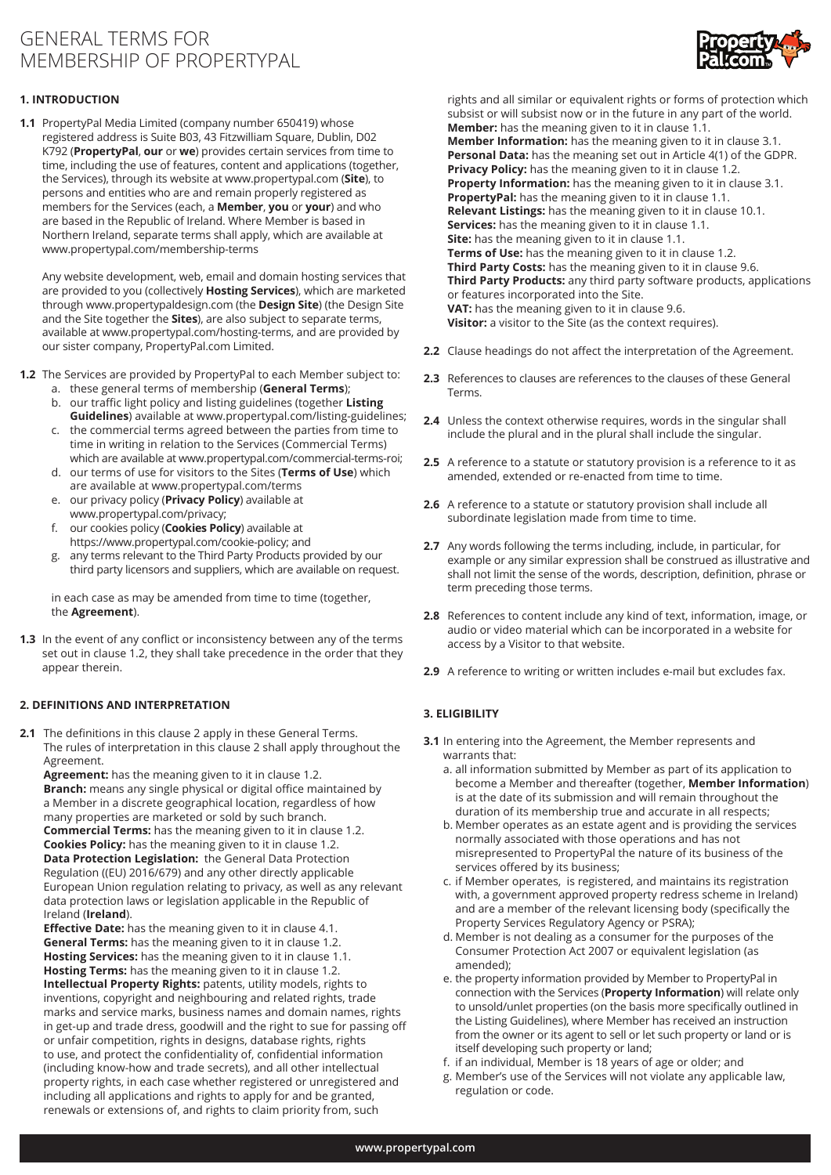# GENERAL TERMS FOR MEMBERSHIP OF PROPERTYPAL



## **1. INTRODUCTION**

**1.1** PropertyPal Media Limited (company number 650419) whose registered address is Suite B03, 43 Fitzwilliam Square, Dublin, D02 K792 (**PropertyPal**, **our** or **we**) provides certain services from time to time, including the use of features, content and applications (together, the Services), through its website at www.propertypal.com (**Site**), to persons and entities who are and remain properly registered as members for the Services (each, a **Member**, **you** or **your**) and who are based in the Republic of Ireland. Where Member is based in Northern Ireland, separate terms shall apply, which are available at www.propertypal.com/membership-terms

Any website development, web, email and domain hosting services that are provided to you (collectively **Hosting Services**), which are marketed through www.propertypaldesign.com (the **Design Site**) (the Design Site and the Site together the **Sites**), are also subject to separate terms, available at www.propertypal.com/hosting-terms, and are provided by our sister company, PropertyPal.com Limited.

**1.2** The Services are provided by PropertyPal to each Member subject to:

- a. these general terms of membership (**General Terms**); b. our traffic light policy and listing guidelines (together **Listing**
- **Guidelines**) available at www.propertypal.com/listing-guidelines; c. the commercial terms agreed between the parties from time to
- time in writing in relation to the Services (Commercial Terms) which are available at www.propertypal.com/commercial-terms-roi;
- d. our terms of use for visitors to the Sites (**Terms of Use**) which are available at www.propertypal.com/terms
- e. our privacy policy (**Privacy Policy**) available at www.propertypal.com/privacy;
- f. our cookies policy (**Cookies Policy**) available at https://www.propertypal.com/cookie-policy; and
- g. any terms relevant to the Third Party Products provided by our third party licensors and suppliers, which are available on request.

 in each case as may be amended from time to time (together, the **Agreement**).

**1.3** In the event of any conflict or inconsistency between any of the terms set out in clause 1.2, they shall take precedence in the order that they appear therein.

## **2. DEFINITIONS AND INTERPRETATION**

**2.1** The definitions in this clause 2 apply in these General Terms. The rules of interpretation in this clause 2 shall apply throughout the Agreement.

**Agreement:** has the meaning given to it in clause 1.2.

**Branch:** means any single physical or digital office maintained by a Member in a discrete geographical location, regardless of how many properties are marketed or sold by such branch. **Commercial Terms:** has the meaning given to it in clause 1.2. **Cookies Policy:** has the meaning given to it in clause 1.2. **Data Protection Legislation:** the General Data Protection Regulation ((EU) 2016/679) and any other directly applicable European Union regulation relating to privacy, as well as any relevant data protection laws or legislation applicable in the Republic of Ireland (**Ireland**).

**Effective Date:** has the meaning given to it in clause 4.1. **General Terms:** has the meaning given to it in clause 1.2. **Hosting Services:** has the meaning given to it in clause 1.1. **Hosting Terms:** has the meaning given to it in clause 1.2. **Intellectual Property Rights:** patents, utility models, rights to inventions, copyright and neighbouring and related rights, trade marks and service marks, business names and domain names, rights in get-up and trade dress, goodwill and the right to sue for passing off or unfair competition, rights in designs, database rights, rights to use, and protect the confidentiality of, confidential information (including know-how and trade secrets), and all other intellectual property rights, in each case whether registered or unregistered and including all applications and rights to apply for and be granted, renewals or extensions of, and rights to claim priority from, such

rights and all similar or equivalent rights or forms of protection which subsist or will subsist now or in the future in any part of the world. **Member:** has the meaning given to it in clause 1.1. **Member Information:** has the meaning given to it in clause 3.1. **Personal Data:** has the meaning set out in Article 4(1) of the GDPR. **Privacy Policy:** has the meaning given to it in clause 1.2. **Property Information:** has the meaning given to it in clause 3.1. **PropertyPal:** has the meaning given to it in clause 1.1. **Relevant Listings:** has the meaning given to it in clause 10.1. **Services:** has the meaning given to it in clause 1.1. **Site:** has the meaning given to it in clause 1.1. **Terms of Use:** has the meaning given to it in clause 1.2. **Third Party Costs:** has the meaning given to it in clause 9.6. **Third Party Products:** any third party software products, applications or features incorporated into the Site. **VAT:** has the meaning given to it in clause 9.6. **Visitor:** a visitor to the Site (as the context requires).

- **2.2** Clause headings do not affect the interpretation of the Agreement.
- **2.3** References to clauses are references to the clauses of these General Terms.
- **2.4** Unless the context otherwise requires, words in the singular shall include the plural and in the plural shall include the singular.
- **2.5** A reference to a statute or statutory provision is a reference to it as amended, extended or re-enacted from time to time.
- **2.6** A reference to a statute or statutory provision shall include all subordinate legislation made from time to time.
- **2.7** Any words following the terms including, include, in particular, for example or any similar expression shall be construed as illustrative and shall not limit the sense of the words, description, definition, phrase or term preceding those terms.
- **2.8** References to content include any kind of text, information, image, or audio or video material which can be incorporated in a website for access by a Visitor to that website.
- **2.9** A reference to writing or written includes e-mail but excludes fax.

## **3. ELIGIBILITY**

- **3.1** In entering into the Agreement, the Member represents and warrants that:
	- a. all information submitted by Member as part of its application to become a Member and thereafter (together, **Member Information**) is at the date of its submission and will remain throughout the duration of its membership true and accurate in all respects;
	- b. Member operates as an estate agent and is providing the services normally associated with those operations and has not misrepresented to PropertyPal the nature of its business of the services offered by its business;
	- c. if Member operates, is registered, and maintains its registration with, a government approved property redress scheme in Ireland) and are a member of the relevant licensing body (specifically the Property Services Regulatory Agency or PSRA);
	- d. Member is not dealing as a consumer for the purposes of the Consumer Protection Act 2007 or equivalent legislation (as amended);
	- e. the property information provided by Member to PropertyPal in connection with the Services (**Property Information**) will relate only to unsold/unlet properties (on the basis more specifically outlined in the Listing Guidelines), where Member has received an instruction from the owner or its agent to sell or let such property or land or is itself developing such property or land;
	- f. if an individual, Member is 18 years of age or older; and
	- g. Member's use of the Services will not violate any applicable law, regulation or code.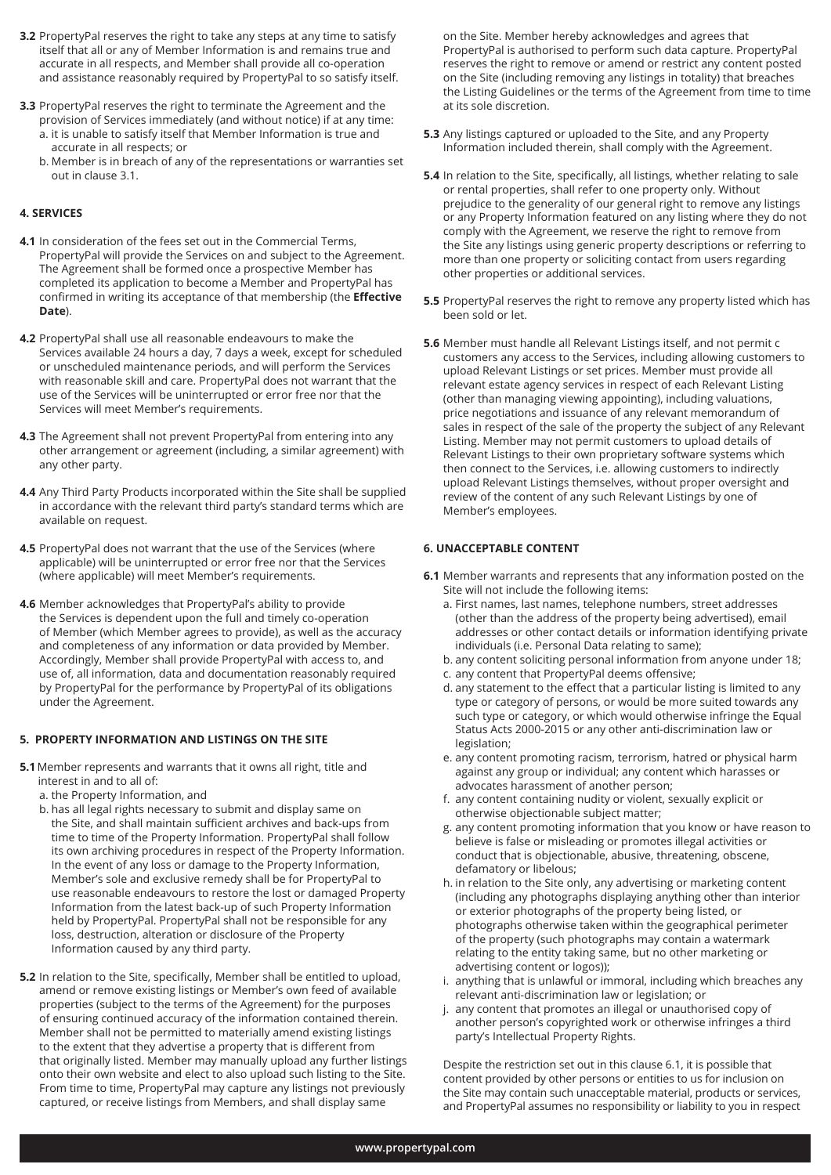- **3.2** PropertyPal reserves the right to take any steps at any time to satisfy itself that all or any of Member Information is and remains true and accurate in all respects, and Member shall provide all co-operation and assistance reasonably required by PropertyPal to so satisfy itself.
- **3.3** PropertyPal reserves the right to terminate the Agreement and the provision of Services immediately (and without notice) if at any time: a. it is unable to satisfy itself that Member Information is true and accurate in all respects; or
	- b. Member is in breach of any of the representations or warranties set out in clause 3.1.

## **4. SERVICES**

- **4.1** In consideration of the fees set out in the Commercial Terms, PropertyPal will provide the Services on and subject to the Agreement. The Agreement shall be formed once a prospective Member has completed its application to become a Member and PropertyPal has confirmed in writing its acceptance of that membership (the **Effective Date**).
- **4.2** PropertyPal shall use all reasonable endeavours to make the Services available 24 hours a day, 7 days a week, except for scheduled or unscheduled maintenance periods, and will perform the Services with reasonable skill and care. PropertyPal does not warrant that the use of the Services will be uninterrupted or error free nor that the Services will meet Member's requirements.
- **4.3** The Agreement shall not prevent PropertyPal from entering into any other arrangement or agreement (including, a similar agreement) with any other party.
- **4.4** Any Third Party Products incorporated within the Site shall be supplied in accordance with the relevant third party's standard terms which are available on request.
- **4.5** PropertyPal does not warrant that the use of the Services (where applicable) will be uninterrupted or error free nor that the Services (where applicable) will meet Member's requirements.
- **4.6** Member acknowledges that PropertyPal's ability to provide the Services is dependent upon the full and timely co-operation of Member (which Member agrees to provide), as well as the accuracy and completeness of any information or data provided by Member. Accordingly, Member shall provide PropertyPal with access to, and use of, all information, data and documentation reasonably required by PropertyPal for the performance by PropertyPal of its obligations under the Agreement.

#### **5. PROPERTY INFORMATION AND LISTINGS ON THE SITE**

- **5.1**Member represents and warrants that it owns all right, title and interest in and to all of:
	- a. the Property Information, and
	- b. has all legal rights necessary to submit and display same on the Site, and shall maintain sufficient archives and back-ups from time to time of the Property Information. PropertyPal shall follow its own archiving procedures in respect of the Property Information. In the event of any loss or damage to the Property Information, Member's sole and exclusive remedy shall be for PropertyPal to use reasonable endeavours to restore the lost or damaged Property Information from the latest back-up of such Property Information held by PropertyPal. PropertyPal shall not be responsible for any loss, destruction, alteration or disclosure of the Property Information caused by any third party.
- **5.2** In relation to the Site, specifically, Member shall be entitled to upload, amend or remove existing listings or Member's own feed of available properties (subject to the terms of the Agreement) for the purposes of ensuring continued accuracy of the information contained therein. Member shall not be permitted to materially amend existing listings to the extent that they advertise a property that is different from that originally listed. Member may manually upload any further listings onto their own website and elect to also upload such listing to the Site. From time to time, PropertyPal may capture any listings not previously captured, or receive listings from Members, and shall display same

on the Site. Member hereby acknowledges and agrees that PropertyPal is authorised to perform such data capture. PropertyPal reserves the right to remove or amend or restrict any content posted on the Site (including removing any listings in totality) that breaches the Listing Guidelines or the terms of the Agreement from time to time at its sole discretion.

- **5.3** Any listings captured or uploaded to the Site, and any Property Information included therein, shall comply with the Agreement.
- **5.4** In relation to the Site, specifically, all listings, whether relating to sale or rental properties, shall refer to one property only. Without prejudice to the generality of our general right to remove any listings or any Property Information featured on any listing where they do not comply with the Agreement, we reserve the right to remove from the Site any listings using generic property descriptions or referring to more than one property or soliciting contact from users regarding other properties or additional services.
- **5.5** PropertyPal reserves the right to remove any property listed which has been sold or let.
- **5.6** Member must handle all Relevant Listings itself, and not permit c customers any access to the Services, including allowing customers to upload Relevant Listings or set prices. Member must provide all relevant estate agency services in respect of each Relevant Listing (other than managing viewing appointing), including valuations, price negotiations and issuance of any relevant memorandum of sales in respect of the sale of the property the subject of any Relevant Listing. Member may not permit customers to upload details of Relevant Listings to their own proprietary software systems which then connect to the Services, i.e. allowing customers to indirectly upload Relevant Listings themselves, without proper oversight and review of the content of any such Relevant Listings by one of Member's employees.

#### **6. UNACCEPTABLE CONTENT**

- **6.1** Member warrants and represents that any information posted on the Site will not include the following items:
	- a. First names, last names, telephone numbers, street addresses (other than the address of the property being advertised), email addresses or other contact details or information identifying private individuals (i.e. Personal Data relating to same);
	- b. any content soliciting personal information from anyone under 18;
	- c. any content that PropertyPal deems offensive;
	- d. any statement to the effect that a particular listing is limited to any type or category of persons, or would be more suited towards any such type or category, or which would otherwise infringe the Equal Status Acts 2000-2015 or any other anti-discrimination law or legislation;
	- e. any content promoting racism, terrorism, hatred or physical harm against any group or individual; any content which harasses or advocates harassment of another person;
	- f. any content containing nudity or violent, sexually explicit or otherwise objectionable subject matter;
	- g. any content promoting information that you know or have reason to believe is false or misleading or promotes illegal activities or conduct that is objectionable, abusive, threatening, obscene, defamatory or libelous;
	- h. in relation to the Site only, any advertising or marketing content (including any photographs displaying anything other than interior or exterior photographs of the property being listed, or photographs otherwise taken within the geographical perimeter of the property (such photographs may contain a watermark relating to the entity taking same, but no other marketing or advertising content or logos));
	- i. anything that is unlawful or immoral, including which breaches any relevant anti-discrimination law or legislation; or
	- j. any content that promotes an illegal or unauthorised copy of another person's copyrighted work or otherwise infringes a third party's Intellectual Property Rights.

Despite the restriction set out in this clause 6.1, it is possible that content provided by other persons or entities to us for inclusion on the Site may contain such unacceptable material, products or services, and PropertyPal assumes no responsibility or liability to you in respect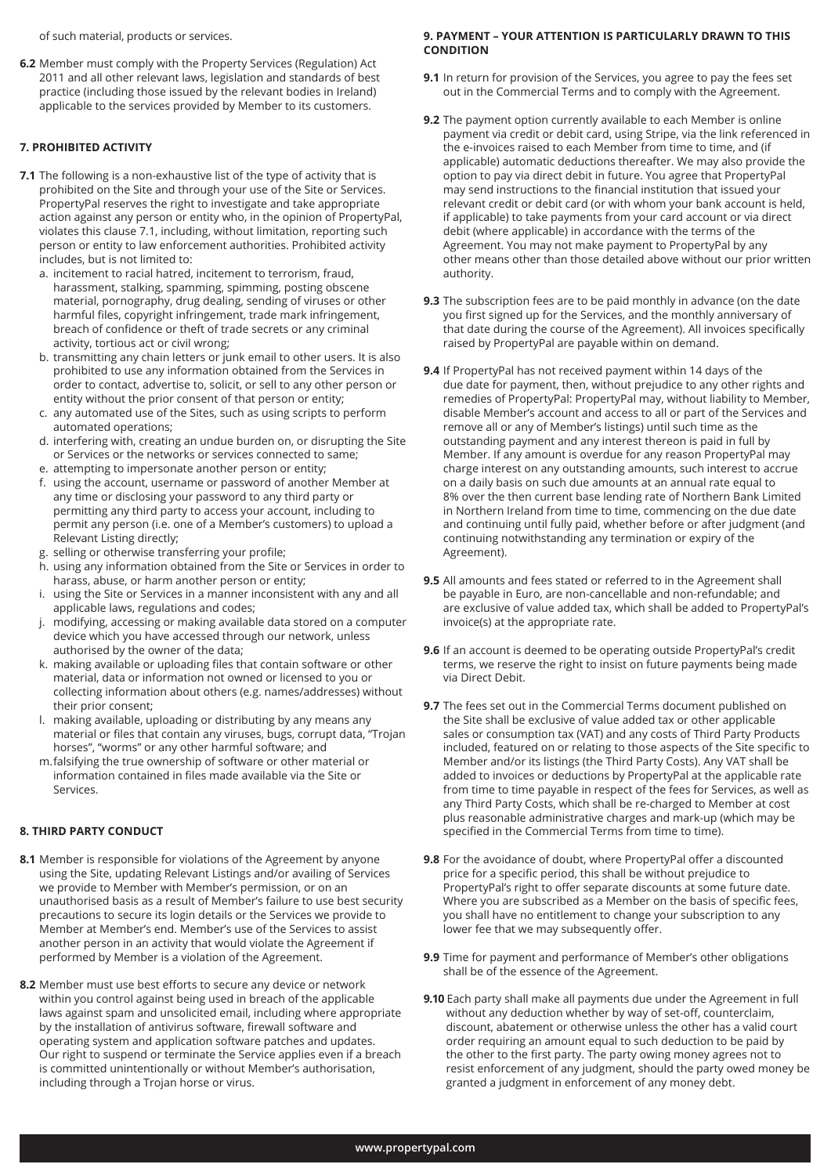of such material, products or services.

**6.2** Member must comply with the Property Services (Regulation) Act 2011 and all other relevant laws, legislation and standards of best practice (including those issued by the relevant bodies in Ireland) applicable to the services provided by Member to its customers.

#### **7. PROHIBITED ACTIVITY**

- **7.1** The following is a non-exhaustive list of the type of activity that is prohibited on the Site and through your use of the Site or Services. PropertyPal reserves the right to investigate and take appropriate action against any person or entity who, in the opinion of PropertyPal, violates this clause 7.1, including, without limitation, reporting such person or entity to law enforcement authorities. Prohibited activity includes, but is not limited to:
	- a. incitement to racial hatred, incitement to terrorism, fraud, harassment, stalking, spamming, spimming, posting obscene material, pornography, drug dealing, sending of viruses or other harmful files, copyright infringement, trade mark infringement, breach of confidence or theft of trade secrets or any criminal activity, tortious act or civil wrong;
	- b. transmitting any chain letters or junk email to other users. It is also prohibited to use any information obtained from the Services in order to contact, advertise to, solicit, or sell to any other person or entity without the prior consent of that person or entity;
	- c. any automated use of the Sites, such as using scripts to perform automated operations;
	- d. interfering with, creating an undue burden on, or disrupting the Site or Services or the networks or services connected to same;
	- e. attempting to impersonate another person or entity;
	- f. using the account, username or password of another Member at any time or disclosing your password to any third party or permitting any third party to access your account, including to permit any person (i.e. one of a Member's customers) to upload a Relevant Listing directly;
	- g. selling or otherwise transferring your profile;
	- h. using any information obtained from the Site or Services in order to harass, abuse, or harm another person or entity;
	- i. using the Site or Services in a manner inconsistent with any and all applicable laws, regulations and codes;
	- j. modifying, accessing or making available data stored on a computer device which you have accessed through our network, unless authorised by the owner of the data;
	- k. making available or uploading files that contain software or other material, data or information not owned or licensed to you or collecting information about others (e.g. names/addresses) without their prior consent;
	- l. making available, uploading or distributing by any means any material or files that contain any viruses, bugs, corrupt data, "Trojan horses", "worms" or any other harmful software; and
	- m.falsifying the true ownership of software or other material or information contained in files made available via the Site or Services.

## **8. THIRD PARTY CONDUCT**

- **8.1** Member is responsible for violations of the Agreement by anyone using the Site, updating Relevant Listings and/or availing of Services we provide to Member with Member's permission, or on an unauthorised basis as a result of Member's failure to use best security precautions to secure its login details or the Services we provide to Member at Member's end. Member's use of the Services to assist another person in an activity that would violate the Agreement if performed by Member is a violation of the Agreement.
- **8.2** Member must use best efforts to secure any device or network within you control against being used in breach of the applicable laws against spam and unsolicited email, including where appropriate by the installation of antivirus software, firewall software and operating system and application software patches and updates. Our right to suspend or terminate the Service applies even if a breach is committed unintentionally or without Member's authorisation, including through a Trojan horse or virus.

#### **9. PAYMENT – YOUR ATTENTION IS PARTICULARLY DRAWN TO THIS CONDITION**

- **9.1** In return for provision of the Services, you agree to pay the fees set out in the Commercial Terms and to comply with the Agreement.
- **9.2** The payment option currently available to each Member is online payment via credit or debit card, using Stripe, via the link referenced in the e-invoices raised to each Member from time to time, and (if applicable) automatic deductions thereafter. We may also provide the option to pay via direct debit in future. You agree that PropertyPal may send instructions to the financial institution that issued your relevant credit or debit card (or with whom your bank account is held, if applicable) to take payments from your card account or via direct debit (where applicable) in accordance with the terms of the Agreement. You may not make payment to PropertyPal by any other means other than those detailed above without our prior written authority.
- **9.3** The subscription fees are to be paid monthly in advance (on the date you first signed up for the Services, and the monthly anniversary of that date during the course of the Agreement). All invoices specifically raised by PropertyPal are payable within on demand.
- **9.4** If PropertyPal has not received payment within 14 days of the due date for payment, then, without prejudice to any other rights and remedies of PropertyPal: PropertyPal may, without liability to Member, disable Member's account and access to all or part of the Services and remove all or any of Member's listings) until such time as the outstanding payment and any interest thereon is paid in full by Member. If any amount is overdue for any reason PropertyPal may charge interest on any outstanding amounts, such interest to accrue on a daily basis on such due amounts at an annual rate equal to 8% over the then current base lending rate of Northern Bank Limited in Northern Ireland from time to time, commencing on the due date and continuing until fully paid, whether before or after judgment (and continuing notwithstanding any termination or expiry of the Agreement).
- **9.5** All amounts and fees stated or referred to in the Agreement shall be payable in Euro, are non-cancellable and non-refundable; and are exclusive of value added tax, which shall be added to PropertyPal's invoice(s) at the appropriate rate.
- **9.6** If an account is deemed to be operating outside PropertyPal's credit terms, we reserve the right to insist on future payments being made via Direct Debit.
- **9.7** The fees set out in the Commercial Terms document published on the Site shall be exclusive of value added tax or other applicable sales or consumption tax (VAT) and any costs of Third Party Products included, featured on or relating to those aspects of the Site specific to Member and/or its listings (the Third Party Costs). Any VAT shall be added to invoices or deductions by PropertyPal at the applicable rate from time to time payable in respect of the fees for Services, as well as any Third Party Costs, which shall be re-charged to Member at cost plus reasonable administrative charges and mark-up (which may be specified in the Commercial Terms from time to time).
- **9.8** For the avoidance of doubt, where PropertyPal offer a discounted price for a specific period, this shall be without prejudice to PropertyPal's right to offer separate discounts at some future date. Where you are subscribed as a Member on the basis of specific fees, you shall have no entitlement to change your subscription to any lower fee that we may subsequently offer.
- **9.9** Time for payment and performance of Member's other obligations shall be of the essence of the Agreement.
- **9.10** Each party shall make all payments due under the Agreement in full without any deduction whether by way of set-off, counterclaim, discount, abatement or otherwise unless the other has a valid court order requiring an amount equal to such deduction to be paid by the other to the first party. The party owing money agrees not to resist enforcement of any judgment, should the party owed money be granted a judgment in enforcement of any money debt.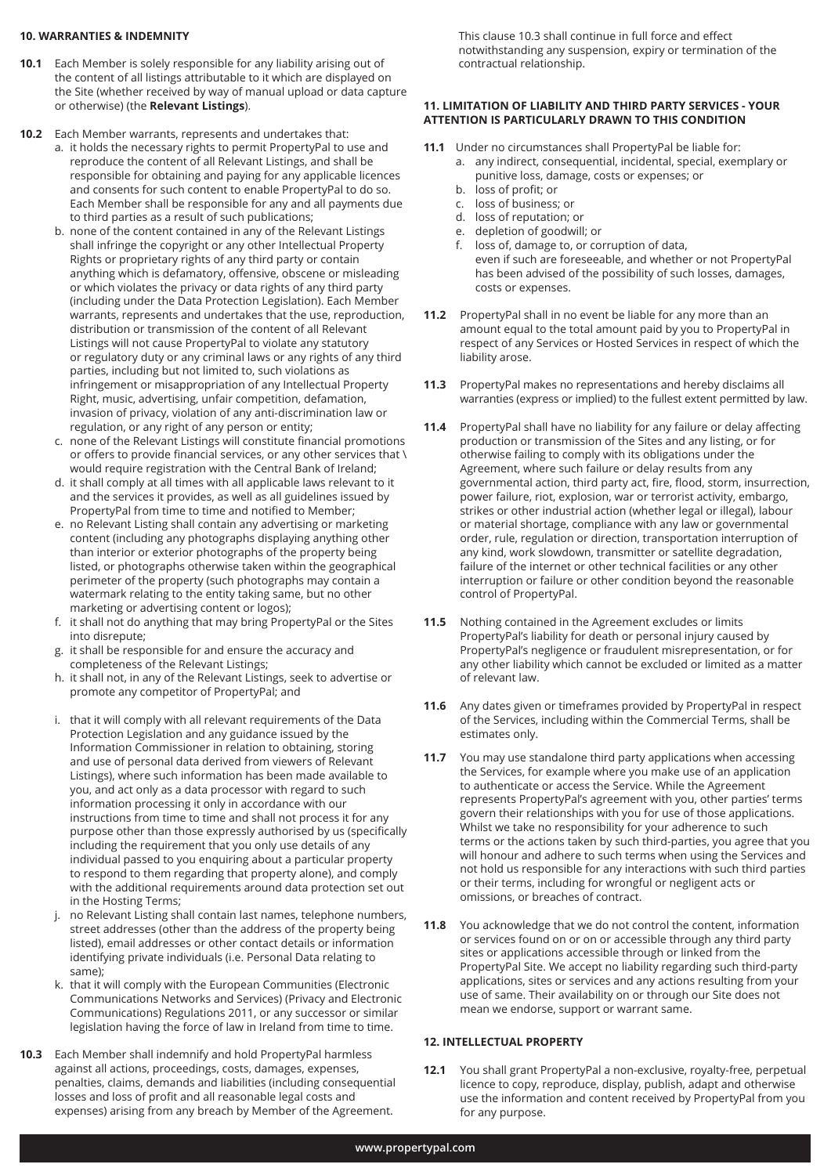#### **10. WARRANTIES & INDEMNITY**

- **10.1** Each Member is solely responsible for any liability arising out of the content of all listings attributable to it which are displayed on the Site (whether received by way of manual upload or data capture or otherwise) (the **Relevant Listings**).
- **10.2** Each Member warrants, represents and undertakes that:
	- a. it holds the necessary rights to permit PropertyPal to use and reproduce the content of all Relevant Listings, and shall be responsible for obtaining and paying for any applicable licences and consents for such content to enable PropertyPal to do so. Each Member shall be responsible for any and all payments due to third parties as a result of such publications;
	- b. none of the content contained in any of the Relevant Listings shall infringe the copyright or any other Intellectual Property Rights or proprietary rights of any third party or contain anything which is defamatory, offensive, obscene or misleading or which violates the privacy or data rights of any third party (including under the Data Protection Legislation). Each Member warrants, represents and undertakes that the use, reproduction, distribution or transmission of the content of all Relevant Listings will not cause PropertyPal to violate any statutory or regulatory duty or any criminal laws or any rights of any third parties, including but not limited to, such violations as infringement or misappropriation of any Intellectual Property Right, music, advertising, unfair competition, defamation, invasion of privacy, violation of any anti-discrimination law or regulation, or any right of any person or entity;
	- c. none of the Relevant Listings will constitute financial promotions or offers to provide financial services, or any other services that \ would require registration with the Central Bank of Ireland;
	- d. it shall comply at all times with all applicable laws relevant to it and the services it provides, as well as all guidelines issued by PropertyPal from time to time and notified to Member;
	- e. no Relevant Listing shall contain any advertising or marketing content (including any photographs displaying anything other than interior or exterior photographs of the property being listed, or photographs otherwise taken within the geographical perimeter of the property (such photographs may contain a watermark relating to the entity taking same, but no other marketing or advertising content or logos);
	- f. it shall not do anything that may bring PropertyPal or the Sites into disrepute;
	- g. it shall be responsible for and ensure the accuracy and completeness of the Relevant Listings;
	- h. it shall not, in any of the Relevant Listings, seek to advertise or promote any competitor of PropertyPal; and
	- i. that it will comply with all relevant requirements of the Data Protection Legislation and any guidance issued by the Information Commissioner in relation to obtaining, storing and use of personal data derived from viewers of Relevant Listings), where such information has been made available to you, and act only as a data processor with regard to such information processing it only in accordance with our instructions from time to time and shall not process it for any purpose other than those expressly authorised by us (specifically including the requirement that you only use details of any individual passed to you enquiring about a particular property to respond to them regarding that property alone), and comply with the additional requirements around data protection set out in the Hosting Terms;
	- j. no Relevant Listing shall contain last names, telephone numbers, street addresses (other than the address of the property being listed), email addresses or other contact details or information identifying private individuals (i.e. Personal Data relating to same);
	- k. that it will comply with the European Communities (Electronic Communications Networks and Services) (Privacy and Electronic Communications) Regulations 2011, or any successor or similar legislation having the force of law in Ireland from time to time.
- **10.3** Each Member shall indemnify and hold PropertyPal harmless against all actions, proceedings, costs, damages, expenses, penalties, claims, demands and liabilities (including consequential losses and loss of profit and all reasonable legal costs and expenses) arising from any breach by Member of the Agreement.

 This clause 10.3 shall continue in full force and effect notwithstanding any suspension, expiry or termination of the contractual relationship.

## **11. LIMITATION OF LIABILITY AND THIRD PARTY SERVICES - YOUR ATTENTION IS PARTICULARLY DRAWN TO THIS CONDITION**

- **11.1** Under no circumstances shall PropertyPal be liable for:
	- a. any indirect, consequential, incidental, special, exemplary or punitive loss, damage, costs or expenses; or
	- b. loss of profit; or
	- c. loss of business; or
	- d. loss of reputation; or
	- e. depletion of goodwill; or
	- f. loss of, damage to, or corruption of data, even if such are foreseeable, and whether or not PropertyPal has been advised of the possibility of such losses, damages, costs or expenses.
- **11.2** PropertyPal shall in no event be liable for any more than an amount equal to the total amount paid by you to PropertyPal in respect of any Services or Hosted Services in respect of which the liability arose.
- **11.3** PropertyPal makes no representations and hereby disclaims all warranties (express or implied) to the fullest extent permitted by law.
- **11.4** PropertyPal shall have no liability for any failure or delay affecting production or transmission of the Sites and any listing, or for otherwise failing to comply with its obligations under the Agreement, where such failure or delay results from any governmental action, third party act, fire, flood, storm, insurrection, power failure, riot, explosion, war or terrorist activity, embargo, strikes or other industrial action (whether legal or illegal), labour or material shortage, compliance with any law or governmental order, rule, regulation or direction, transportation interruption of any kind, work slowdown, transmitter or satellite degradation, failure of the internet or other technical facilities or any other interruption or failure or other condition beyond the reasonable control of PropertyPal.
- **11.5** Nothing contained in the Agreement excludes or limits PropertyPal's liability for death or personal injury caused by PropertyPal's negligence or fraudulent misrepresentation, or for any other liability which cannot be excluded or limited as a matter of relevant law.
- **11.6** Any dates given or timeframes provided by PropertyPal in respect of the Services, including within the Commercial Terms, shall be estimates only.
- **11.7** You may use standalone third party applications when accessing the Services, for example where you make use of an application to authenticate or access the Service. While the Agreement represents PropertyPal's agreement with you, other parties' terms govern their relationships with you for use of those applications. Whilst we take no responsibility for your adherence to such terms or the actions taken by such third-parties, you agree that you will honour and adhere to such terms when using the Services and not hold us responsible for any interactions with such third parties or their terms, including for wrongful or negligent acts or omissions, or breaches of contract.
- **11.8** You acknowledge that we do not control the content, information or services found on or on or accessible through any third party sites or applications accessible through or linked from the PropertyPal Site. We accept no liability regarding such third-party applications, sites or services and any actions resulting from your use of same. Their availability on or through our Site does not mean we endorse, support or warrant same.

## **12. INTELLECTUAL PROPERTY**

**12.1** You shall grant PropertyPal a non-exclusive, royalty-free, perpetual licence to copy, reproduce, display, publish, adapt and otherwise use the information and content received by PropertyPal from you for any purpose.